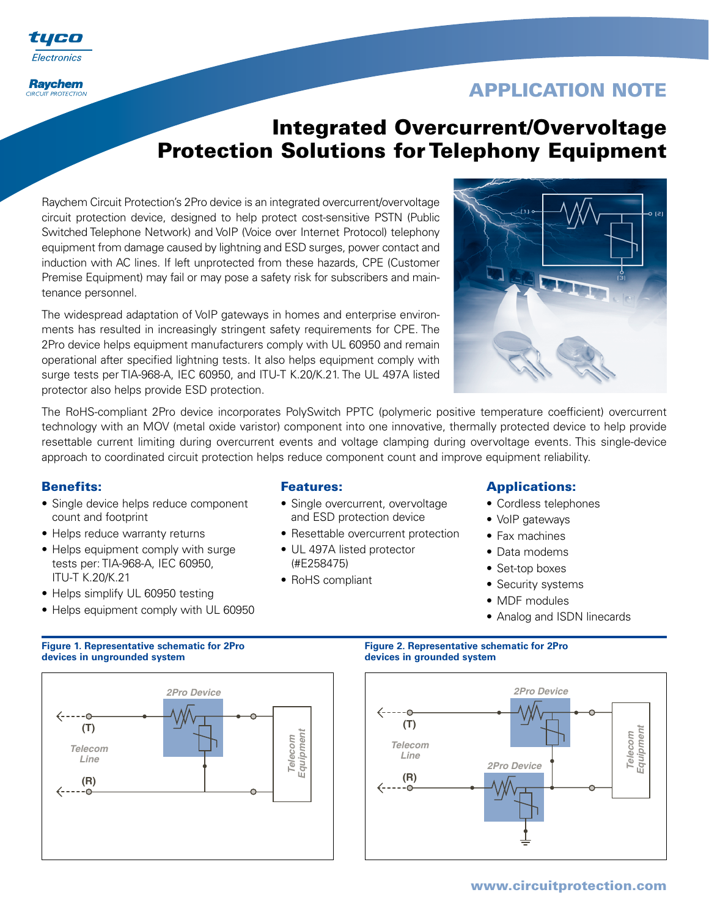

**Raychem CIRCUIT PROTECTION** 

# **APPLICATION NOTE**

# **Integrated Overcurrent/Overvoltage Protection Solutions for Telephony Equipment**

Raychem Circuit Protection's 2Pro device is an integrated overcurrent/overvoltage circuit protection device, designed to help protect cost-sensitive PSTN (Public Switched Telephone Network) and VoIP (Voice over Internet Protocol) telephony equipment from damage caused by lightning and ESD surges, power contact and induction with AC lines. If left unprotected from these hazards, CPE (Customer Premise Equipment) may fail or may pose a safety risk for subscribers and maintenance personnel.

The widespread adaptation of VoIP gateways in homes and enterprise environments has resulted in increasingly stringent safety requirements for CPE. The 2Pro device helps equipment manufacturers comply with UL 60950 and remain operational after specified lightning tests. It also helps equipment comply with surge tests per TIA-968-A, IEC 60950, and ITU-T K.20/K.21. The UL 497A listed protector also helps provide ESD protection.



The RoHS-compliant 2Pro device incorporates PolySwitch PPTC (polymeric positive temperature coefficient) overcurrent technology with an MOV (metal oxide varistor) component into one innovative, thermally protected device to help provide resettable current limiting during overcurrent events and voltage clamping during overvoltage events. This single-device approach to coordinated circuit protection helps reduce component count and improve equipment reliability.

## **Benefits:**

- Single device helps reduce component count and footprint
- Helps reduce warranty returns
- Helps equipment comply with surge tests per: TIA-968-A, IEC 60950, ITU-T K.20/K.21
- Helps simplify UL 60950 testing
- Helps equipment comply with UL 60950

### **Features:**

- Single overcurrent, overvoltage and ESD protection device
- Resettable overcurrent protection
- UL 497A listed protector
- (#E258475)
- RoHS compliant

## **Applications:**

- Cordless telephones
- VoIP gateways
- Fax machines
- Data modems
- Set-top boxes
- Security systems
- MDF modules
- Analog and ISDN linecards





# **Figure 1. Representative schematic for 2Pro** Figure 2. Representative schematic for 2Pro



## **www.circuitprotection.com**